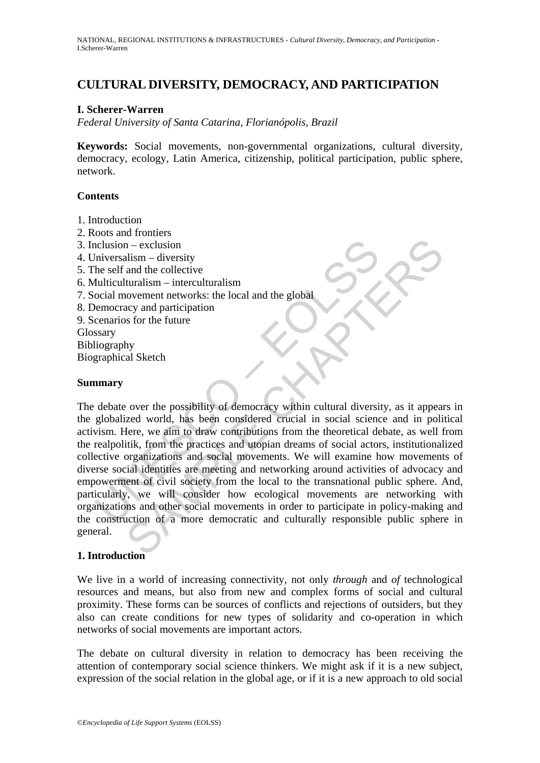## **CULTURAL DIVERSITY, DEMOCRACY, AND PARTICIPATION**

#### **I. Scherer-Warren**

*Federal University of Santa Catarina, Florianópolis, Brazil* 

**Keywords:** Social movements, non-governmental organizations, cultural diversity, democracy, ecology, Latin America, citizenship, political participation, public sphere, network.

#### **Contents**

- 1. Introduction
- 2. Roots and frontiers
- 3. Inclusion exclusion
- 4. Universalism diversity
- 5. The self and the collective
- 6. Multiculturalism interculturalism
- 7. Social movement networks: the local and the global
- 8. Democracy and participation
- 9. Scenarios for the future

Glossary

Bibliography

Biographical Sketch

#### **Summary**

nculusion – exclusion<br>
miversalism – diversity<br>
the self and the collective<br>
fluitculturalism – interculturalism<br>
ocial movement networks: the local and the global<br>
emmocracy and participation<br>
censarios for the future<br>
sa n – exclusion<br>
alism – diversity<br>
and the collective<br>
turalism – interculturalism<br>
novement networks: the local and the global<br>
novement networks: the local and the global<br>
acy and participation<br>
so for the future<br>
hy<br>
hy<br> The debate over the possibility of democracy within cultural diversity, as it appears in the globalized world, has been considered crucial in social science and in political activism. Here, we aim to draw contributions from the theoretical debate, as well from the realpolitik, from the practices and utopian dreams of social actors, institutionalized collective organizations and social movements. We will examine how movements of diverse social identities are meeting and networking around activities of advocacy and empowerment of civil society from the local to the transnational public sphere. And, particularly, we will consider how ecological movements are networking with organizations and other social movements in order to participate in policy-making and the construction of a more democratic and culturally responsible public sphere in general.

### **1. Introduction**

We live in a world of increasing connectivity, not only *through* and *of* technological resources and means, but also from new and complex forms of social and cultural proximity. These forms can be sources of conflicts and rejections of outsiders, but they also can create conditions for new types of solidarity and co-operation in which networks of social movements are important actors.

The debate on cultural diversity in relation to democracy has been receiving the attention of contemporary social science thinkers. We might ask if it is a new subject, expression of the social relation in the global age, or if it is a new approach to old social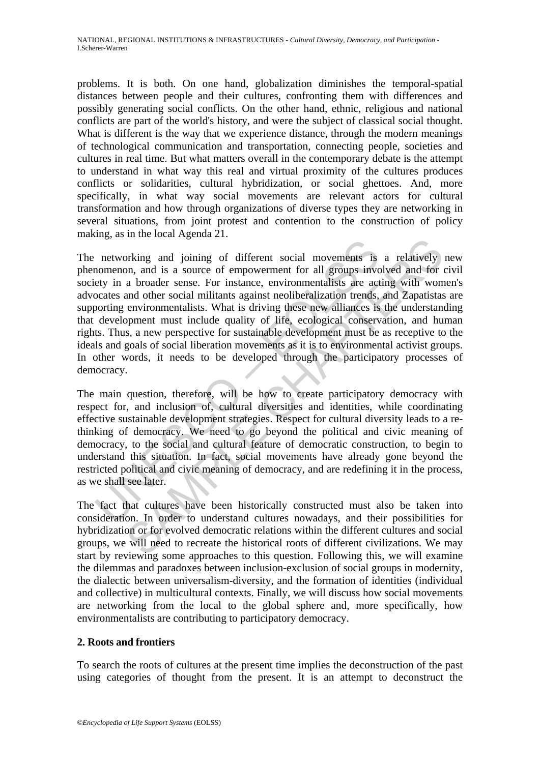problems. It is both. On one hand, globalization diminishes the temporal-spatial distances between people and their cultures, confronting them with differences and possibly generating social conflicts. On the other hand, ethnic, religious and national conflicts are part of the world's history, and were the subject of classical social thought. What is different is the way that we experience distance, through the modern meanings of technological communication and transportation, connecting people, societies and cultures in real time. But what matters overall in the contemporary debate is the attempt to understand in what way this real and virtual proximity of the cultures produces conflicts or solidarities, cultural hybridization, or social ghettoes. And, more specifically, in what way social movements are relevant actors for cultural transformation and how through organizations of diverse types they are networking in several situations, from joint protest and contention to the construction of policy making, as in the local Agenda 21.

networking and joining of different social movements is<br>nomenon, and is a source of empowerment for all groups invo<br>ety in a broader sense. For instance, environmentalists are acted<br>coates and other social militants agains man a joining of different social movements is a relatively<br>and is a solution, and is a solution<br>and other societies are component for all groups involved and for<br>an onder sense. For instance, environmentalists are acting The networking and joining of different social movements is a relatively new phenomenon, and is a source of empowerment for all groups involved and for civil society in a broader sense. For instance, environmentalists are acting with women's advocates and other social militants against neoliberalization trends, and Zapatistas are supporting environmentalists. What is driving these new alliances is the understanding that development must include quality of life, ecological conservation, and human rights. Thus, a new perspective for sustainable development must be as receptive to the ideals and goals of social liberation movements as it is to environmental activist groups. In other words, it needs to be developed through the participatory processes of democracy.

The main question, therefore, will be how to create participatory democracy with respect for, and inclusion of, cultural diversities and identities, while coordinating effective sustainable development strategies. Respect for cultural diversity leads to a rethinking of democracy. We need to go beyond the political and civic meaning of democracy, to the social and cultural feature of democratic construction, to begin to understand this situation. In fact, social movements have already gone beyond the restricted political and civic meaning of democracy, and are redefining it in the process, as we shall see later.

The fact that cultures have been historically constructed must also be taken into consideration. In order to understand cultures nowadays, and their possibilities for hybridization or for evolved democratic relations within the different cultures and social groups, we will need to recreate the historical roots of different civilizations. We may start by reviewing some approaches to this question. Following this, we will examine the dilemmas and paradoxes between inclusion-exclusion of social groups in modernity, the dialectic between universalism-diversity, and the formation of identities (individual and collective) in multicultural contexts. Finally, we will discuss how social movements are networking from the local to the global sphere and, more specifically, how environmentalists are contributing to participatory democracy.

### **2. Roots and frontiers**

To search the roots of cultures at the present time implies the deconstruction of the past using categories of thought from the present. It is an attempt to deconstruct the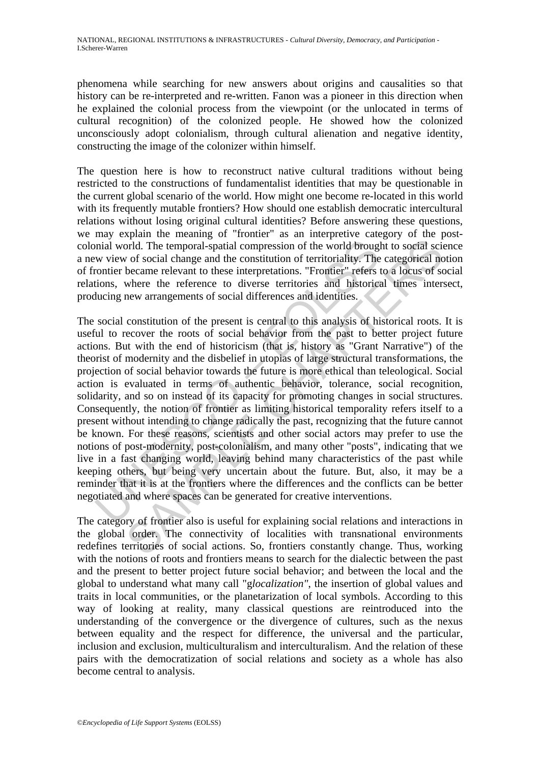phenomena while searching for new answers about origins and causalities so that history can be re-interpreted and re-written. Fanon was a pioneer in this direction when he explained the colonial process from the viewpoint (or the unlocated in terms of cultural recognition) of the colonized people. He showed how the colonized unconsciously adopt colonialism, through cultural alienation and negative identity, constructing the image of the colonizer within himself.

The question here is how to reconstruct native cultural traditions without being restricted to the constructions of fundamentalist identities that may be questionable in the current global scenario of the world. How might one become re-located in this world with its frequently mutable frontiers? How should one establish democratic intercultural relations without losing original cultural identities? Before answering these questions, we may explain the meaning of "frontier" as an interpretive category of the postcolonial world. The temporal-spatial compression of the world brought to social science a new view of social change and the constitution of territoriality. The categorical notion of frontier became relevant to these interpretations. "Frontier" refers to a locus of social relations, where the reference to diverse territories and historical times intersect, producing new arrangements of social differences and identities.

imal world. The temporal-spatial compression of the world brought<br>w view of social change and the constitution of territoriality. The<br>contier became relevant to these interpretations. "Frontier" refers<br>tions, where the ref ord. The temporal-spatial compression of the world brought to social scienting that the constitution of territoriality. The categorical roof social change and the constitution of territoriality. The categorical role of soc The social constitution of the present is central to this analysis of historical roots. It is useful to recover the roots of social behavior from the past to better project future actions. But with the end of historicism (that is, history as "Grant Narrative") of the theorist of modernity and the disbelief in utopias of large structural transformations, the projection of social behavior towards the future is more ethical than teleological. Social action is evaluated in terms of authentic behavior, tolerance, social recognition, solidarity, and so on instead of its capacity for promoting changes in social structures. Consequently, the notion of frontier as limiting historical temporality refers itself to a present without intending to change radically the past, recognizing that the future cannot be known. For these reasons, scientists and other social actors may prefer to use the notions of post-modernity, post-colonialism, and many other "posts", indicating that we live in a fast changing world, leaving behind many characteristics of the past while keeping others, but being very uncertain about the future. But, also, it may be a reminder that it is at the frontiers where the differences and the conflicts can be better negotiated and where spaces can be generated for creative interventions.

The category of frontier also is useful for explaining social relations and interactions in the global order. The connectivity of localities with transnational environments redefines territories of social actions. So, frontiers constantly change. Thus, working with the notions of roots and frontiers means to search for the dialectic between the past and the present to better project future social behavior; and between the local and the global to understand what many call "g*localization"*, the insertion of global values and traits in local communities, or the planetarization of local symbols. According to this way of looking at reality, many classical questions are reintroduced into the understanding of the convergence or the divergence of cultures, such as the nexus between equality and the respect for difference, the universal and the particular, inclusion and exclusion, multiculturalism and interculturalism. And the relation of these pairs with the democratization of social relations and society as a whole has also become central to analysis.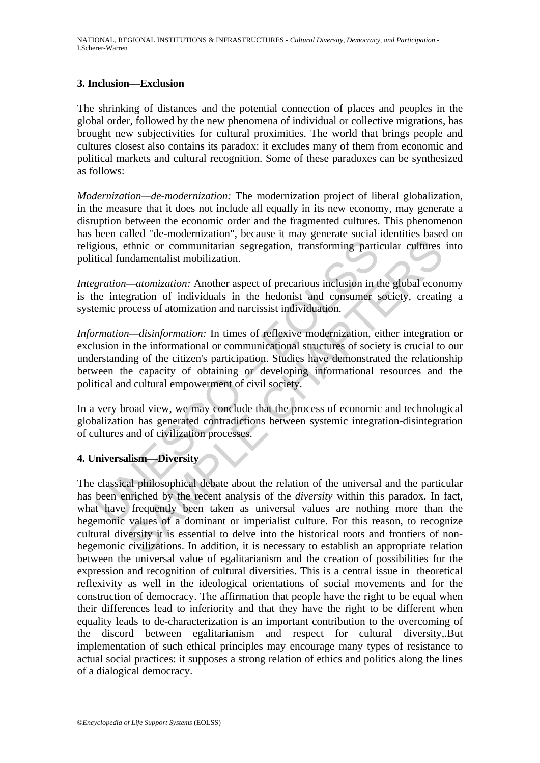#### **3. Inclusion—Exclusion**

The shrinking of distances and the potential connection of places and peoples in the global order, followed by the new phenomena of individual or collective migrations, has brought new subjectivities for cultural proximities. The world that brings people and cultures closest also contains its paradox: it excludes many of them from economic and political markets and cultural recognition. Some of these paradoxes can be synthesized as follows:

*Modernization—de-modernization:* The modernization project of liberal globalization, in the measure that it does not include all equally in its new economy, may generate a disruption between the economic order and the fragmented cultures. This phenomenon has been called "de-modernization", because it may generate social identities based on religious, ethnic or communitarian segregation, transforming particular cultures into political fundamentalist mobilization.

*Integration—atomization:* Another aspect of precarious inclusion in the global economy is the integration of individuals in the hedonist and consumer society, creating a systemic process of atomization and narcissist individuation.

gious, ethnic or communitarian segregation, transforming particular fundamentalist mobilization.<br> *gration—atomization*: Another aspect of precarious inclusion in the integration of individuals in the hedonist and consumer *Information—disinformation:* In times of reflexive modernization, either integration or exclusion in the informational or communicational structures of society is crucial to our understanding of the citizen's participation. Studies have demonstrated the relationship between the capacity of obtaining or developing informational resources and the political and cultural empowerment of civil society.

In a very broad view, we may conclude that the process of economic and technological globalization has generated contradictions between systemic integration-disintegration of cultures and of civilization processes.

### **4. Universalism—Diversity**

estimated for communitarian segregation, transforming particular cultures<br>
andamentalist mobilization.<br>
Anatomization: Another aspect of precarious inclusion in the global econogration of individuals in the hedonist and co The classical philosophical debate about the relation of the universal and the particular has been enriched by the recent analysis of the *diversity* within this paradox. In fact, what have frequently been taken as universal values are nothing more than the hegemonic values of a dominant or imperialist culture. For this reason, to recognize cultural diversity it is essential to delve into the historical roots and frontiers of nonhegemonic civilizations. In addition, it is necessary to establish an appropriate relation between the universal value of egalitarianism and the creation of possibilities for the expression and recognition of cultural diversities. This is a central issue in theoretical reflexivity as well in the ideological orientations of social movements and for the construction of democracy. The affirmation that people have the right to be equal when their differences lead to inferiority and that they have the right to be different when equality leads to de-characterization is an important contribution to the overcoming of the discord between egalitarianism and respect for cultural diversity,.But implementation of such ethical principles may encourage many types of resistance to actual social practices: it supposes a strong relation of ethics and politics along the lines of a dialogical democracy.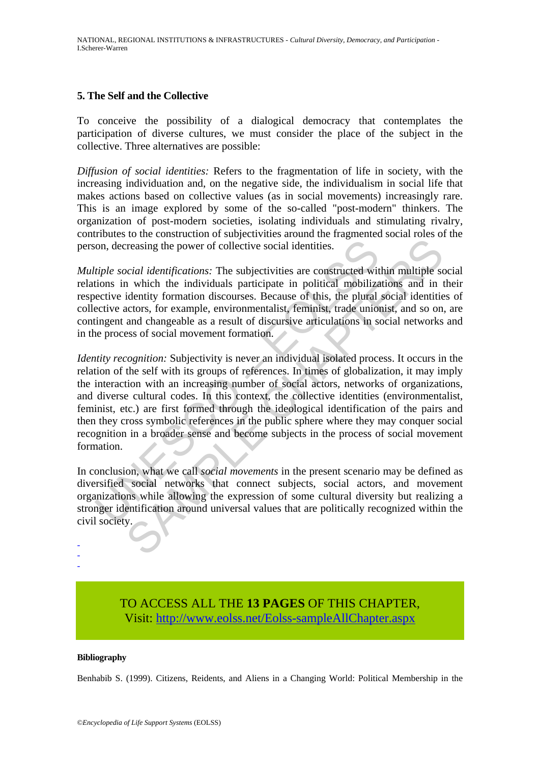#### **5. The Self and the Collective**

To conceive the possibility of a dialogical democracy that contemplates the participation of diverse cultures, we must consider the place of the subject in the collective. Three alternatives are possible:

*Diffusion of social identities:* Refers to the fragmentation of life in society, with the increasing individuation and, on the negative side, the individualism in social life that makes actions based on collective values (as in social movements) increasingly rare. This is an image explored by some of the so-called "post-modern" thinkers. The organization of post-modern societies, isolating individuals and stimulating rivalry, contributes to the construction of subjectivities around the fragmented social roles of the person, decreasing the power of collective social identities.

*Multiple social identifications:* The subjectivities are constructed within multiple social relations in which the individuals participate in political mobilizations and in their respective identity formation discourses. Because of this, the plural social identities of collective actors, for example, environmentalist, feminist, trade unionist, and so on, are contingent and changeable as a result of discursive articulations in social networks and in the process of social movement formation.

on, decreasing the power of collective social identities.<br> *itple social identifications:* The subjectivities are constructed with<br>
tions in which the individuals participate in political mobiliza<br>
cective identity formati Freasing the power of collective social identities.<br>
Second *identifications:* The subjectivities are constructed within multiple social *identifications*: The subjectivities are constructed within multiple social *identit Identity recognition:* Subjectivity is never an individual isolated process. It occurs in the relation of the self with its groups of references. In times of globalization, it may imply the interaction with an increasing number of social actors, networks of organizations, and diverse cultural codes. In this context, the collective identities (environmentalist, feminist, etc.) are first formed through the ideological identification of the pairs and then they cross symbolic references in the public sphere where they may conquer social recognition in a broader sense and become subjects in the process of social movement formation.

In conclusion, what we call *social movements* in the present scenario may be defined as diversified social networks that connect subjects, social actors, and movement organizations while allowing the expression of some cultural diversity but realizing a stronger identification around universal values that are politically recognized within the civil society.

# TO ACCESS ALL THE **13 PAGES** OF THIS CHAPTER, Visit[: http://www.eolss.net/Eolss-sampleAllChapter.aspx](https://www.eolss.net/ebooklib/sc_cart.aspx?File=E1-43-01-12)

#### **Bibliography**

- - -

Benhabib S. (1999). Citizens, Reidents, and Aliens in a Changing World: Political Membership in the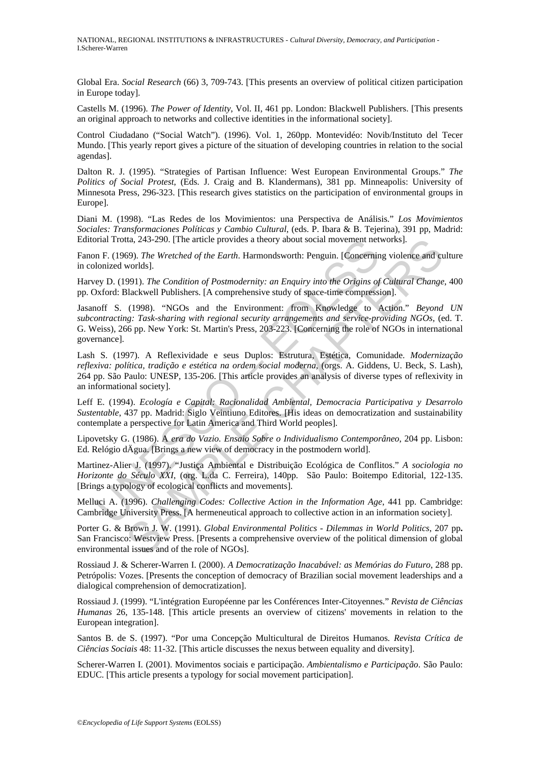Global Era. *Social Research* (66) 3, 709-743. [This presents an overview of political citizen participation in Europe today].

Castells M. (1996). *The Power of Identity*, Vol. II, 461 pp. London: Blackwell Publishers. [This presents an original approach to networks and collective identities in the informational society].

Control Ciudadano ("Social Watch"). (1996). Vol. 1, 260pp. Montevidéo: Novib/Instituto del Tecer Mundo. [This yearly report gives a picture of the situation of developing countries in relation to the social agendas].

Dalton R. J. (1995). "Strategies of Partisan Influence: West European Environmental Groups." *The Politics of Social Protest*, (Eds. J. Craig and B. Klandermans), 381 pp. Minneapolis: University of Minnesota Press, 296-323. [This research gives statistics on the participation of environmental groups in Europe].

Diani M. (1998). "Las Redes de los Movimientos: una Perspectiva de Análisis." *Los Movimientos Sociales: Transformaciones Políticas y Cambio Cultural*, (eds. P. Ibara & B. Tejerina), 391 pp, Madrid: Editorial Trotta, 243-290. [The article provides a theory about social movement networks].

Fanon F. (1969). *The Wretched of the Earth*. Harmondsworth: Penguin. [Concerning violence and culture in colonized worlds].

Harvey D. (1991). *The Condition of Postmodernity: an Enquiry into the Origins of Cultural Change*, 400 pp. Oxford: Blackwell Publishers. [A comprehensive study of space-time compression].

oral Trotta, 243-290. [The article provides a theory about social movement net<br>n F. (1969). *The Wretched of the Earth*. Harmondsworth: Penguin. [Concernin<br>olonized worlds]. *The Condition of Postmodernity: an Enquiry into* tta, 243-290. [The article provides a theory about social movement networks].<br>69). The Wretched of the Earth. Harmondsworth: Penguin. [Concerning violence and ct<br>worlds]. The Condition of Postmodernity: an Enquiry into the Jasanoff S. (1998). "NGOs and the Environment: from Knowledge to Action." *Beyond UN subcontracting: Task-sharing with regional security arrangements and service-providing NGOs,* (ed. T. G. Weiss), 266 pp. New York: St. Martin's Press, 203-223. [Concerning the role of NGOs in international governance].

Lash S. (1997). A Reflexividade e seus Duplos: Estrutura, Estética, Comunidade. *Modernização reflexiva: política, tradição e estética na ordem social moderna*, (orgs. A. Giddens, U. Beck, S. Lash), 264 pp. São Paulo: UNESP, 135-206. [This article provides an analysis of diverse types of reflexivity in an informational society].

Leff E. (1994). *Ecología e Capital: Racionalidad Ambiental, Democracia Participativa y Desarrolo Sustentable*, 437 pp. Madrid: Siglo Veintiuno Editores. [His ideas on democratization and sustainability contemplate a perspective for Latin America and Third World peoples].

Lipovetsky G. (1986). A *era do Vazio. Ensaio Sobre o Individualismo Contemporâneo*, 204 pp. Lisbon: Ed. Relógio dÄgua. [Brings a new view of democracy in the postmodern world].

Martinez-Alier J. (1997). "Justiça Ambiental e Distribuição Ecológica de Conflitos." *A sociologia no Horizonte do Século XXI*, (org. L.da C. Ferreira), 140pp. São Paulo: Boitempo Editorial, 122-135. [Brings a typology of ecological conflicts and movements].

Melluci A. (1996). *Challenging Codes: Collective Action in the Information Age*, 441 pp. Cambridge: Cambridge University Press. [A hermeneutical approach to collective action in an information society].

Porter G. & Brown J. W. (1991). *Global Environmental Politics - Dilemmas in World Politics*, 207 pp**.** San Francisco: Westview Press. [Presents a comprehensive overview of the political dimension of global environmental issues and of the role of NGOs].

Rossiaud J. & Scherer-Warren I. (2000). *A Democratização Inacabável: as Memórias do Futuro*, 288 pp. Petrópolis: Vozes. [Presents the conception of democracy of Brazilian social movement leaderships and a dialogical comprehension of democratization].

Rossiaud J. (1999). "L'intégration Européenne par les Conférences Inter-Citoyennes." *Revista de Ciências Humanas* 26, 135-148. [This article presents an overview of citizens' movements in relation to the European integration].

Santos B. de S. (1997). "Por uma Concepção Multicultural de Direitos Humanos*. Revista Crítica de Ciências Sociais* 48: 11-32. [This article discusses the nexus between equality and diversity].

Scherer-Warren I. (2001). Movimentos sociais e participação. *Ambientalismo e Participação*. São Paulo: EDUC. [This article presents a typology for social movement participation].